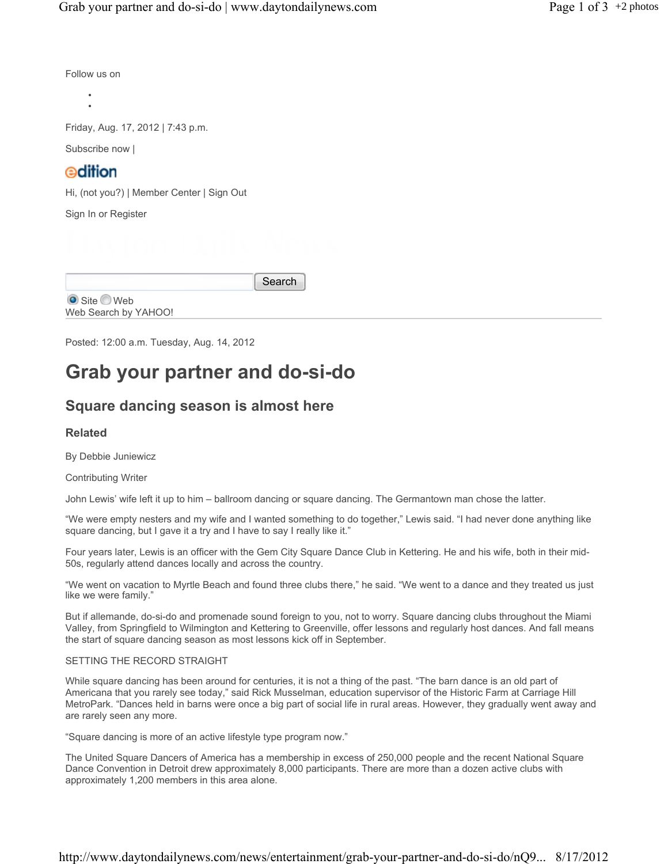Follow us on

• •

Friday, Aug. 17, 2012 | 7:43 p.m.

Subscribe now |

# edition

Hi, (not you?) | Member Center | Sign Out

Sign In or Register

Search

■ Site ■ Web Web Search by YAHOO!

Posted: 12:00 a.m. Tuesday, Aug. 14, 2012

# **Grab your partner and do-si-do**

## **Square dancing season is almost here**

## **Related**

By Debbie Juniewicz

Contributing Writer

John Lewis' wife left it up to him – ballroom dancing or square dancing. The Germantown man chose the latter.

"We were empty nesters and my wife and I wanted something to do together," Lewis said. "I had never done anything like square dancing, but I gave it a try and I have to say I really like it."

Four years later, Lewis is an officer with the Gem City Square Dance Club in Kettering. He and his wife, both in their mid-50s, regularly attend dances locally and across the country.

"We went on vacation to Myrtle Beach and found three clubs there," he said. "We went to a dance and they treated us just like we were family."

But if allemande, do-si-do and promenade sound foreign to you, not to worry. Square dancing clubs throughout the Miami Valley, from Springfield to Wilmington and Kettering to Greenville, offer lessons and regularly host dances. And fall means the start of square dancing season as most lessons kick off in September.

#### SETTING THE RECORD STRAIGHT

While square dancing has been around for centuries, it is not a thing of the past. "The barn dance is an old part of Americana that you rarely see today," said Rick Musselman, education supervisor of the Historic Farm at Carriage Hill MetroPark. "Dances held in barns were once a big part of social life in rural areas. However, they gradually went away and are rarely seen any more.

"Square dancing is more of an active lifestyle type program now."

The United Square Dancers of America has a membership in excess of 250,000 people and the recent National Square Dance Convention in Detroit drew approximately 8,000 participants. There are more than a dozen active clubs with approximately 1,200 members in this area alone.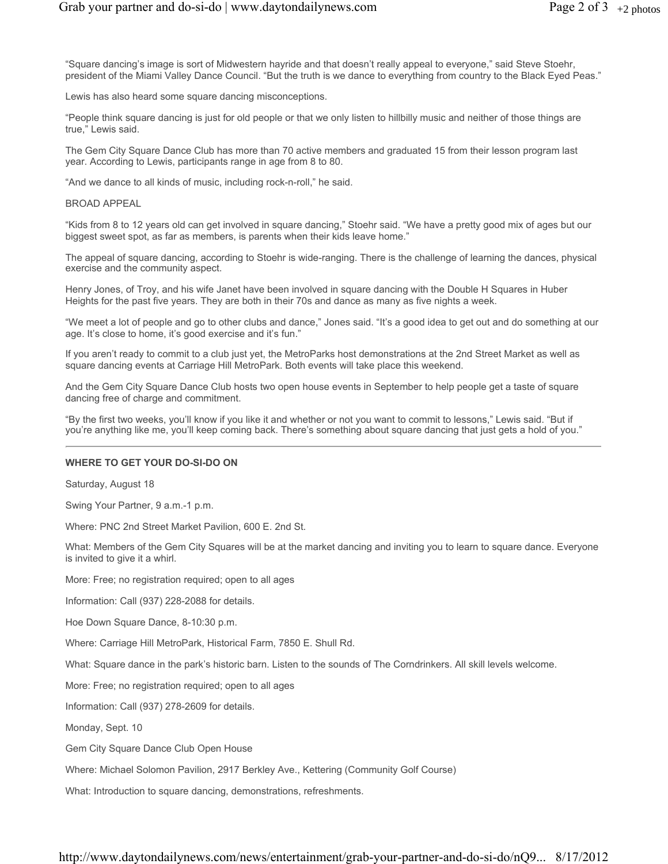"Square dancing's image is sort of Midwestern hayride and that doesn't really appeal to everyone," said Steve Stoehr, president of the Miami Valley Dance Council. "But the truth is we dance to everything from country to the Black Eyed Peas."

Lewis has also heard some square dancing misconceptions.

"People think square dancing is just for old people or that we only listen to hillbilly music and neither of those things are true," Lewis said.

The Gem City Square Dance Club has more than 70 active members and graduated 15 from their lesson program last year. According to Lewis, participants range in age from 8 to 80.

"And we dance to all kinds of music, including rock-n-roll," he said.

#### BROAD APPEAL

"Kids from 8 to 12 years old can get involved in square dancing," Stoehr said. "We have a pretty good mix of ages but our biggest sweet spot, as far as members, is parents when their kids leave home."

The appeal of square dancing, according to Stoehr is wide-ranging. There is the challenge of learning the dances, physical exercise and the community aspect.

Henry Jones, of Troy, and his wife Janet have been involved in square dancing with the Double H Squares in Huber Heights for the past five years. They are both in their 70s and dance as many as five nights a week.

"We meet a lot of people and go to other clubs and dance," Jones said. "It's a good idea to get out and do something at our age. It's close to home, it's good exercise and it's fun."

If you aren't ready to commit to a club just yet, the MetroParks host demonstrations at the 2nd Street Market as well as square dancing events at Carriage Hill MetroPark. Both events will take place this weekend.

And the Gem City Square Dance Club hosts two open house events in September to help people get a taste of square dancing free of charge and commitment.

"By the first two weeks, you'll know if you like it and whether or not you want to commit to lessons," Lewis said. "But if you're anything like me, you'll keep coming back. There's something about square dancing that just gets a hold of you."

#### **WHERE TO GET YOUR DO-SI-DO ON**

Saturday, August 18

Swing Your Partner, 9 a.m.-1 p.m.

Where: PNC 2nd Street Market Pavilion, 600 E. 2nd St.

What: Members of the Gem City Squares will be at the market dancing and inviting you to learn to square dance. Everyone is invited to give it a whirl.

More: Free; no registration required; open to all ages

Information: Call (937) 228-2088 for details.

Hoe Down Square Dance, 8-10:30 p.m.

Where: Carriage Hill MetroPark, Historical Farm, 7850 E. Shull Rd.

What: Square dance in the park's historic barn. Listen to the sounds of The Corndrinkers. All skill levels welcome.

More: Free; no registration required; open to all ages

Information: Call (937) 278-2609 for details.

Monday, Sept. 10

Gem City Square Dance Club Open House

Where: Michael Solomon Pavilion, 2917 Berkley Ave., Kettering (Community Golf Course)

What: Introduction to square dancing, demonstrations, refreshments.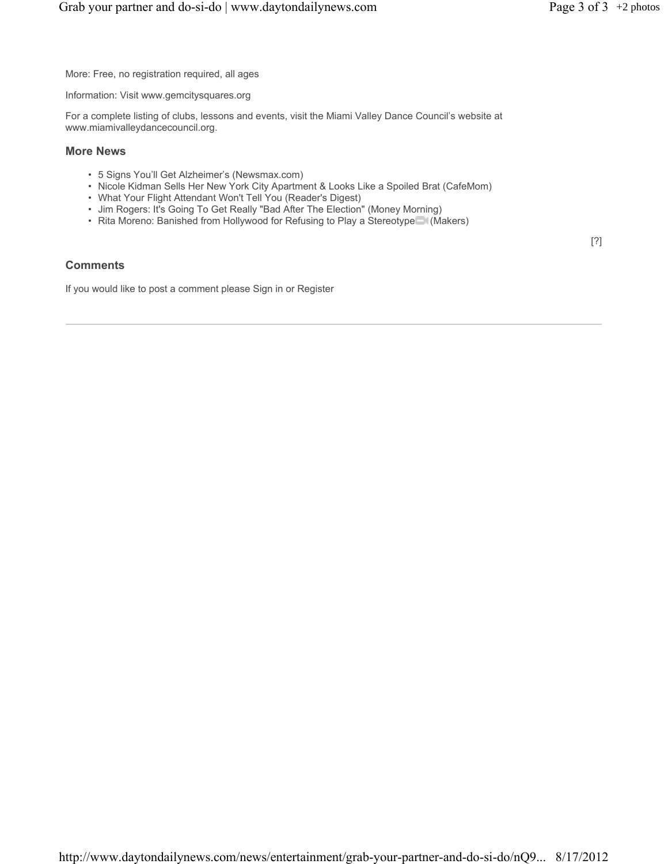[?]

More: Free, no registration required, all ages

Information: Visit www.gemcitysquares.org

For a complete listing of clubs, lessons and events, visit the Miami Valley Dance Council's website at www.miamivalleydancecouncil.org.

#### **More News**

- 5 Signs You'll Get Alzheimer's (Newsmax.com)
- Nicole Kidman Sells Her New York City Apartment & Looks Like a Spoiled Brat (CafeMom)
- What Your Flight Attendant Won't Tell You (Reader's Digest)
- Jim Rogers: It's Going To Get Really "Bad After The Election" (Money Morning)
- Rita Moreno: Banished from Hollywood for Refusing to Play a Stereotype<sup>(Makers)</sup>

## **Comments**

If you would like to post a comment please Sign in or Register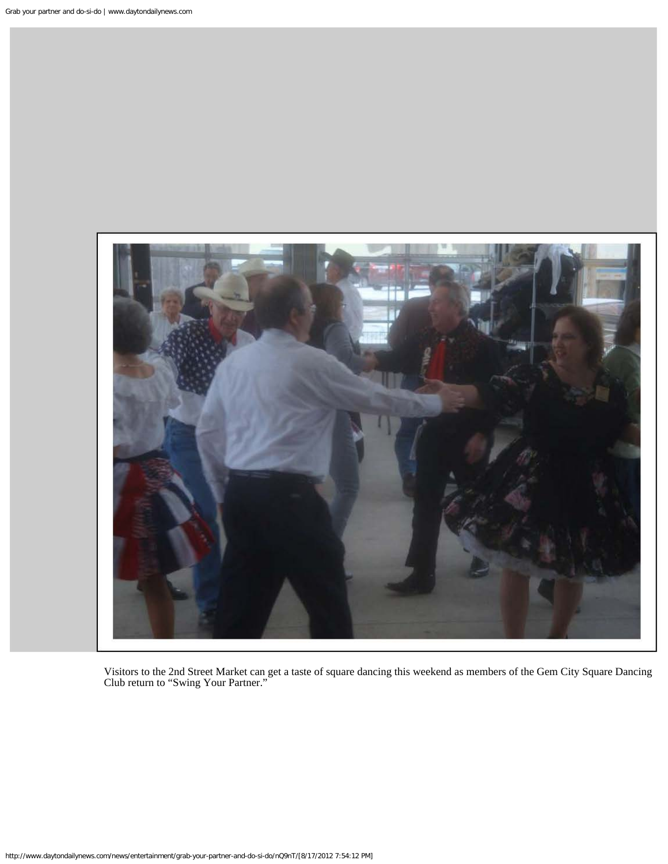

Visitors to the 2nd Street Market can get a taste of square dancing this weekend as members of the Gem City Square Dancing Club return to "Swing Your Partner."